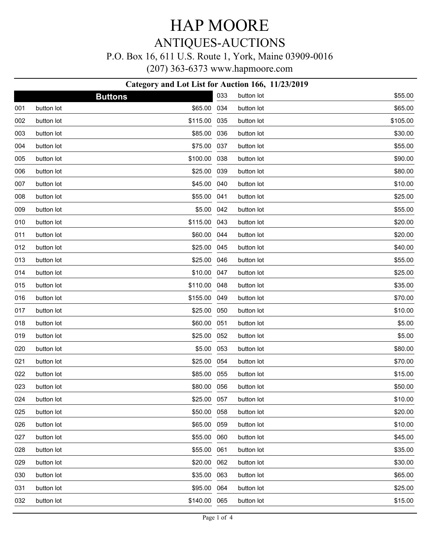### ANTIQUES-AUCTIONS

#### P.O. Box 16, 611 U.S. Route 1, York, Maine 03909-0016

(207) 363-6373 www.hapmoore.com

| Category and Lot List for Auction 166, 11/23/2019 |            |                |     |            |          |  |
|---------------------------------------------------|------------|----------------|-----|------------|----------|--|
|                                                   |            | <b>Buttons</b> | 033 | button lot | \$55.00  |  |
| 001                                               | button lot | \$65.00        | 034 | button lot | \$65.00  |  |
| 002                                               | button lot | \$115.00       | 035 | button lot | \$105.00 |  |
| 003                                               | button lot | \$85.00        | 036 | button lot | \$30.00  |  |
| 004                                               | button lot | \$75.00        | 037 | button lot | \$55.00  |  |
| 005                                               | button lot | \$100.00       | 038 | button lot | \$90.00  |  |
| 006                                               | button lot | \$25.00        | 039 | button lot | \$80.00  |  |
| 007                                               | button lot | \$45.00        | 040 | button lot | \$10.00  |  |
| 008                                               | button lot | \$55.00        | 041 | button lot | \$25.00  |  |
| 009                                               | button lot | \$5.00         | 042 | button lot | \$55.00  |  |
| 010                                               | button lot | \$115.00       | 043 | button lot | \$20.00  |  |
| 011                                               | button lot | \$60.00        | 044 | button lot | \$20.00  |  |
| 012                                               | button lot | \$25.00        | 045 | button lot | \$40.00  |  |
| 013                                               | button lot | \$25.00        | 046 | button lot | \$55.00  |  |
| 014                                               | button lot | \$10.00        | 047 | button lot | \$25.00  |  |
| 015                                               | button lot | \$110.00       | 048 | button lot | \$35.00  |  |
| 016                                               | button lot | \$155.00       | 049 | button lot | \$70.00  |  |
| 017                                               | button lot | \$25.00        | 050 | button lot | \$10.00  |  |
| 018                                               | button lot | \$60.00        | 051 | button lot | \$5.00   |  |
| 019                                               | button lot | \$25.00        | 052 | button lot | \$5.00   |  |
| 020                                               | button lot | \$5.00         | 053 | button lot | \$80.00  |  |
| 021                                               | button lot | \$25.00        | 054 | button lot | \$70.00  |  |
| 022                                               | button lot | \$85.00        | 055 | button lot | \$15.00  |  |
| 023                                               | button lot | \$80.00 056    |     | button lot | \$50.00  |  |
| 024                                               | button lot | \$25.00 057    |     | button lot | \$10.00  |  |
| 025                                               | button lot | \$50.00 058    |     | button lot | \$20.00  |  |
| 026                                               | button lot | \$65.00        | 059 | button lot | \$10.00  |  |
| 027                                               | button lot | \$55.00        | 060 | button lot | \$45.00  |  |
| 028                                               | button lot | \$55.00        | 061 | button lot | \$35.00  |  |
| 029                                               | button lot | \$20.00        | 062 | button lot | \$30.00  |  |
| 030                                               | button lot | \$35.00        | 063 | button lot | \$65.00  |  |
| 031                                               | button lot | \$95.00 064    |     | button lot | \$25.00  |  |

button lot \$15.00

032 button lot \$140.00 065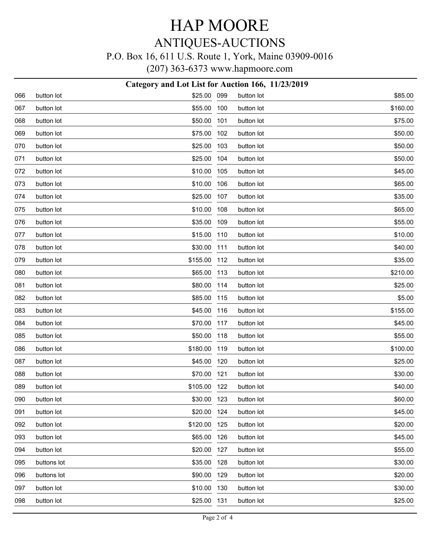### ANTIQUES-AUCTIONS

### P.O. Box 16, 611 U.S. Route 1, York, Maine 03909-0016

(207) 363-6373 www.hapmoore.com

| Category and Lot List for Auction 166, 11/23/2019 |             |             |     |            |          |  |
|---------------------------------------------------|-------------|-------------|-----|------------|----------|--|
| 066                                               | button lot  | \$25.00 099 |     | button lot | \$85.00  |  |
| 067                                               | button lot  | \$55.00     | 100 | button lot | \$160.00 |  |
| 068                                               | button lot  | \$50.00     | 101 | button lot | \$75.00  |  |
| 069                                               | button lot  | \$75.00     | 102 | button lot | \$50.00  |  |
| 070                                               | button lot  | \$25.00     | 103 | button lot | \$50.00  |  |
| 071                                               | button lot  | \$25.00     | 104 | button lot | \$50.00  |  |
| 072                                               | button lot  | \$10.00     | 105 | button lot | \$45.00  |  |
| 073                                               | button lot  | \$10.00     | 106 | button lot | \$65.00  |  |
| 074                                               | button lot  | \$25.00     | 107 | button lot | \$35.00  |  |
| 075                                               | button lot  | \$10.00     | 108 | button lot | \$65.00  |  |
| 076                                               | button lot  | \$35.00     | 109 | button lot | \$55.00  |  |
| 077                                               | button lot  | \$15.00     | 110 | button lot | \$10.00  |  |
| 078                                               | button lot  | \$30.00     | 111 | button lot | \$40.00  |  |
| 079                                               | button lot  | \$155.00    | 112 | button lot | \$35.00  |  |
| 080                                               | button lot  | \$65.00     | 113 | button lot | \$210.00 |  |
| 081                                               | button lot  | \$80.00     | 114 | button lot | \$25.00  |  |
| 082                                               | button lot  | \$85.00     | 115 | button lot | \$5.00   |  |
| 083                                               | button lot  | \$45.00     | 116 | button lot | \$155.00 |  |
| 084                                               | button lot  | \$70.00     | 117 | button lot | \$45.00  |  |
| 085                                               | button lot  | \$50.00     | 118 | button lot | \$55.00  |  |
| 086                                               | button lot  | \$180.00    | 119 | button lot | \$100.00 |  |
| 087                                               | button lot  | \$45.00     | 120 | button lot | \$25.00  |  |
| 088                                               | button lot  | \$70.00     | 121 | button lot | \$30.00  |  |
| 089                                               | button lot  | \$105.00    | 122 | button lot | \$40.00  |  |
| 090                                               | button lot  | \$30.00 123 |     | button lot | \$60.00  |  |
| 091                                               | button lot  | \$20.00     | 124 | button lot | \$45.00  |  |
| 092                                               | button lot  | \$120.00    | 125 | button lot | \$20.00  |  |
| 093                                               | button lot  | \$65.00     | 126 | button lot | \$45.00  |  |
| 094                                               | button lot  | \$20.00     | 127 | button lot | \$55.00  |  |
| 095                                               | buttons lot | \$35.00     | 128 | button lot | \$30.00  |  |
| 096                                               | buttons lot | \$90.00     | 129 | button lot | \$20.00  |  |
| 097                                               | button lot  | \$10.00     | 130 | button lot | \$30.00  |  |
| 098                                               | button lot  | \$25.00     | 131 | button lot | \$25.00  |  |
|                                                   |             |             |     |            |          |  |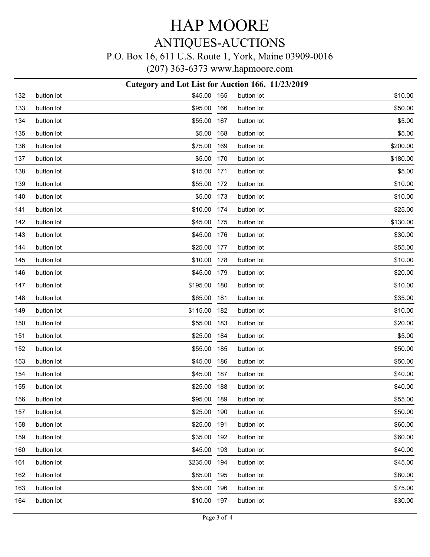## ANTIQUES-AUCTIONS

#### P.O. Box 16, 611 U.S. Route 1, York, Maine 03909-0016

(207) 363-6373 www.hapmoore.com

|     |            | Category and Lot List for Auction 166, 11/23/2019 |     |            |          |
|-----|------------|---------------------------------------------------|-----|------------|----------|
| 132 | button lot | \$45.00 165                                       |     | button lot | \$10.00  |
| 133 | button lot | \$95.00                                           | 166 | button lot | \$50.00  |
| 134 | button lot | \$55.00                                           | 167 | button lot | \$5.00   |
| 135 | button lot | \$5.00                                            | 168 | button lot | \$5.00   |
| 136 | button lot | \$75.00                                           | 169 | button lot | \$200.00 |
| 137 | button lot | \$5.00                                            | 170 | button lot | \$180.00 |
| 138 | button lot | \$15.00                                           | 171 | button lot | \$5.00   |
| 139 | button lot | \$55.00                                           | 172 | button lot | \$10.00  |
| 140 | button lot | \$5.00 173                                        |     | button lot | \$10.00  |
| 141 | button lot | \$10.00                                           | 174 | button lot | \$25.00  |
| 142 | button lot | \$45.00                                           | 175 | button lot | \$130.00 |
| 143 | button lot | \$45.00                                           | 176 | button lot | \$30.00  |
| 144 | button lot | \$25.00                                           | 177 | button lot | \$55.00  |
| 145 | button lot | \$10.00                                           | 178 | button lot | \$10.00  |
| 146 | button lot | \$45.00                                           | 179 | button lot | \$20.00  |
| 147 | button lot | \$195.00                                          | 180 | button lot | \$10.00  |
| 148 | button lot | \$65.00                                           | 181 | button lot | \$35.00  |
| 149 | button lot | \$115.00                                          | 182 | button lot | \$10.00  |
| 150 | button lot | \$55.00                                           | 183 | button lot | \$20.00  |
| 151 | button lot | \$25.00                                           | 184 | button lot | \$5.00   |
| 152 | button lot | \$55.00                                           | 185 | button lot | \$50.00  |
| 153 | button lot | \$45.00                                           | 186 | button lot | \$50.00  |
| 154 | button lot | \$45.00                                           | 187 | button lot | \$40.00  |
| 155 | button lot | \$25.00                                           | 188 | button lot | \$40.00  |
| 156 | button lot | \$95.00 189                                       |     | button lot | \$55.00  |
| 157 | button lot | \$25.00                                           | 190 | button lot | \$50.00  |
| 158 | button lot | \$25.00                                           | 191 | button lot | \$60.00  |
| 159 | button lot | \$35.00                                           | 192 | button lot | \$60.00  |
| 160 | button lot | \$45.00                                           | 193 | button lot | \$40.00  |
| 161 | button lot | \$235.00                                          | 194 | button lot | \$45.00  |
| 162 | button lot | \$85.00                                           | 195 | button lot | \$80.00  |
| 163 | button lot | \$55.00                                           | 196 | button lot | \$75.00  |
| 164 | button lot | \$10.00 197                                       |     | button lot | \$30.00  |
|     |            |                                                   |     |            |          |